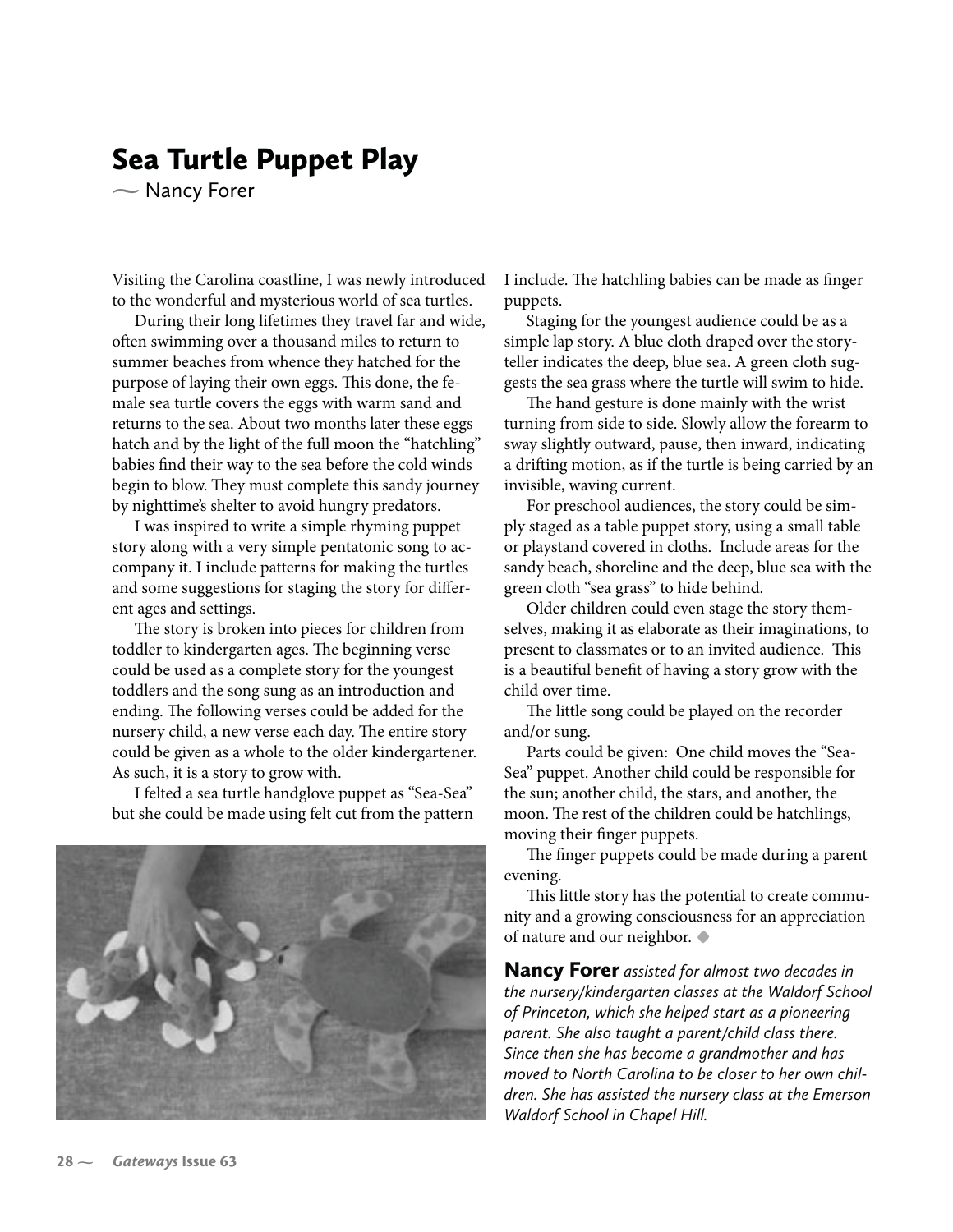## **Sea Turtle Puppet Play**

 $\sim$  Nancy Forer

Visiting the Carolina coastline, I was newly introduced to the wonderful and mysterious world of sea turtles.

During their long lifetimes they travel far and wide, often swimming over a thousand miles to return to summer beaches from whence they hatched for the purpose of laying their own eggs. This done, the female sea turtle covers the eggs with warm sand and returns to the sea. About two months later these eggs hatch and by the light of the full moon the "hatchling" babies find their way to the sea before the cold winds begin to blow. They must complete this sandy journey by nighttime's shelter to avoid hungry predators.

I was inspired to write a simple rhyming puppet story along with a very simple pentatonic song to accompany it. I include patterns for making the turtles and some suggestions for staging the story for different ages and settings.

The story is broken into pieces for children from toddler to kindergarten ages. The beginning verse could be used as a complete story for the youngest toddlers and the song sung as an introduction and ending. The following verses could be added for the nursery child, a new verse each day. The entire story could be given as a whole to the older kindergartener. As such, it is a story to grow with.

I felted a sea turtle handglove puppet as "Sea-Sea" but she could be made using felt cut from the pattern



I include. The hatchling babies can be made as finger puppets.

Staging for the youngest audience could be as a simple lap story. A blue cloth draped over the storyteller indicates the deep, blue sea. A green cloth suggests the sea grass where the turtle will swim to hide.

The hand gesture is done mainly with the wrist turning from side to side. Slowly allow the forearm to sway slightly outward, pause, then inward, indicating a drifting motion, as if the turtle is being carried by an invisible, waving current.

For preschool audiences, the story could be simply staged as a table puppet story, using a small table or playstand covered in cloths. Include areas for the sandy beach, shoreline and the deep, blue sea with the green cloth "sea grass" to hide behind.

Older children could even stage the story themselves, making it as elaborate as their imaginations, to present to classmates or to an invited audience. This is a beautiful benefit of having a story grow with the child over time.

The little song could be played on the recorder and/or sung.

Parts could be given: One child moves the "Sea-Sea" puppet. Another child could be responsible for the sun; another child, the stars, and another, the moon. The rest of the children could be hatchlings, moving their finger puppets.

The finger puppets could be made during a parent evening.

This little story has the potential to create community and a growing consciousness for an appreciation of nature and our neighbor.  $\blacklozenge$ 

**Nancy Forer** assisted for almost two decades in the nursery/kindergarten classes at the Waldorf School of Princeton, which she helped start as a pioneering parent. She also taught a parent/child class there. Since then she has become a grandmother and has moved to North Carolina to be closer to her own children. She has assisted the nursery class at the Emerson Waldorf School in Chapel Hill.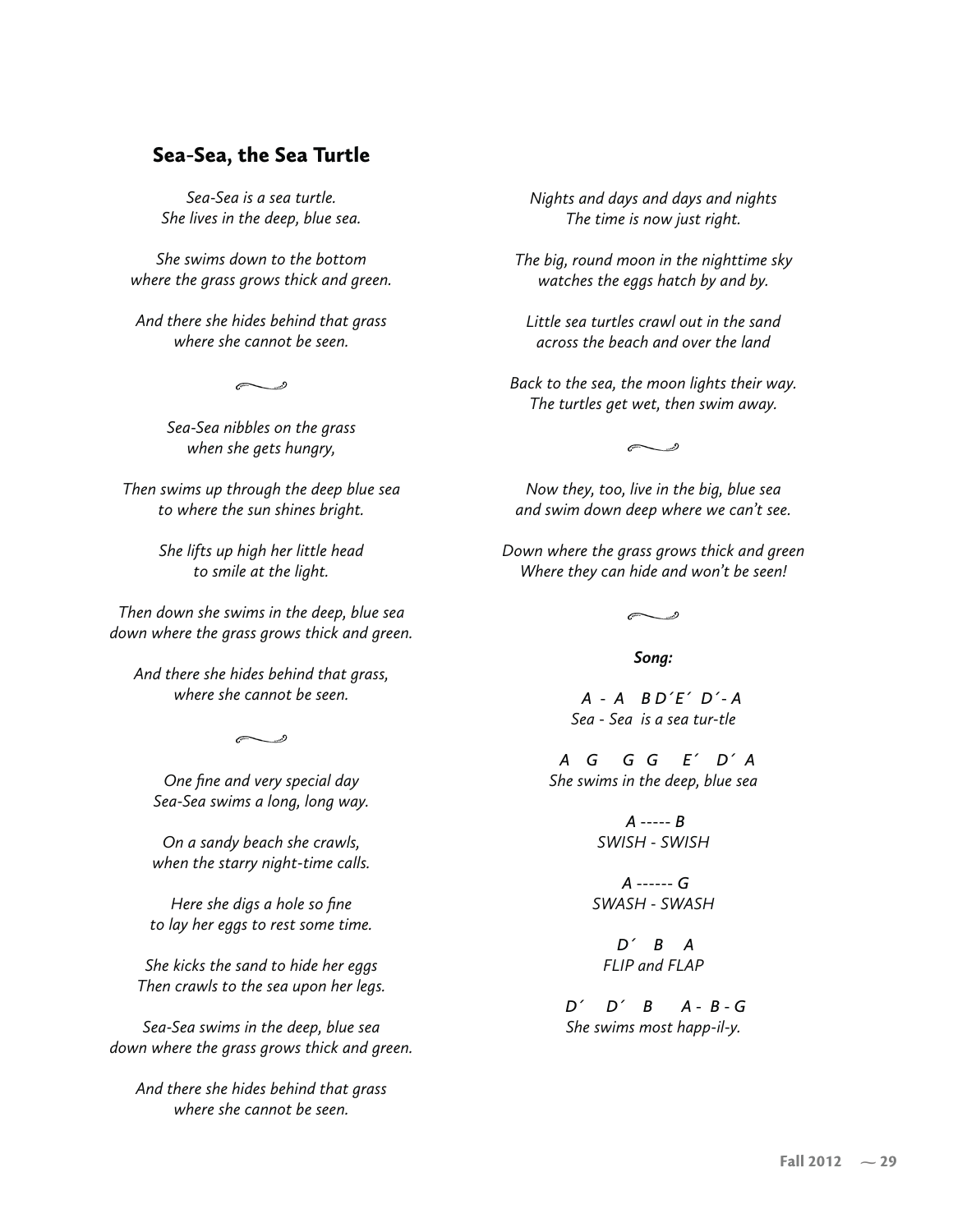## Sea-Sea, the Sea Turtle

Sea-Sea is a sea turtle. *She lives in the deep, blue sea.* 

*She swims down to the bottom* where the grass grows thick and green.

And there she hides behind that grass where she cannot be seen.

 $\sim$   $\degree$ 

Sea-Sea nibbles on the grass when she gets hungry,

Then swims up through the deep blue sea to where the sun shines bright.

> She lifts up high her little head to smile at the light.

Then down she swims in the deep, blue sea down where the grass grows thick and green.

And there she hides behind that grass, where she cannot be seen.

 $\curvearrowright$ 

One fine and very special day Sea-Sea swims a long, long way.

On a sandy beach she crawls, when the starry night-time calls.

Here she digs a hole so fine to lay her eggs to rest some time.

She kicks the sand to hide her eggs Then crawls to the sea upon her legs.

Sea-Sea swims in the deep, blue sea down where the grass grows thick and green.

And there she hides behind that grass where she cannot be seen.

*Nights and days and days and nights* The time is now just right.

The big, round moon in the nighttime sky watches the eggs hatch by and by.

*I* ittle sea turtles crawl out in the sand across the beach and over the land

Back to the sea, the moon lights their way. The turtles get wet, then swim away.

 $\sim$   $\degree$ 

*Now they, too, live in the big, blue sea* and swim down deep where we can't see.

Down where the grass grows thick and green Where they can hide and won't be seen!

 $\overline{\phantom{a}}$ 

Song:

*A* - *A B D'E' D'*-*A* Sea - Sea is a sea tur-tle

*A G G G E' D' A* She swims in the deep, blue sea

> *A* ----- *B -1#-" -1#-"*

*A* ------ *G -1-" -1-"*

 $D'$  *B A* **FLIP** and **FLAP** 

*D' B A* - *B* - *G She swims most happ-il-y.*